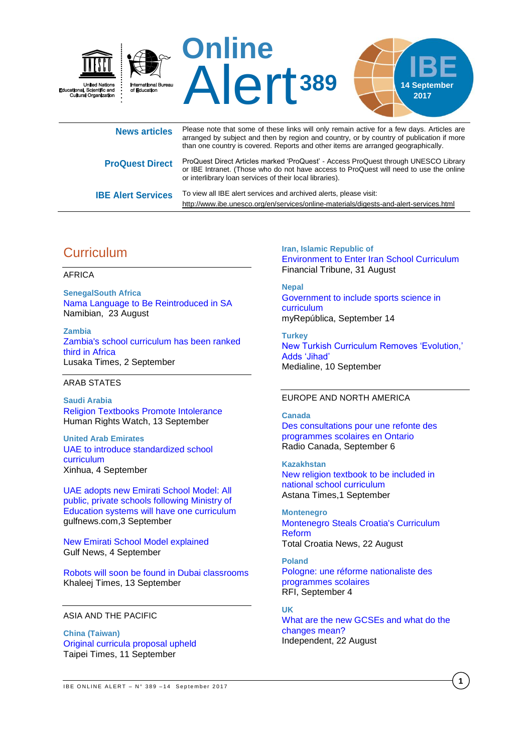

| News articles             | arranged by subject and then by region and country, or by country of publication if more<br>than one country is covered. Reports and other items are arranged geographically.                                                             |
|---------------------------|-------------------------------------------------------------------------------------------------------------------------------------------------------------------------------------------------------------------------------------------|
| <b>ProQuest Direct</b>    | ProQuest Direct Articles marked 'ProQuest' - Access ProQuest through UNESCO Library<br>or IBE Intranet. (Those who do not have access to ProQuest will need to use the online<br>or interlibrary loan services of their local libraries). |
| <b>IBE Alert Services</b> | To view all IBE alert services and archived alerts, please visit:<br>http://www.ibe.unesco.org/en/services/online-materials/digests-and-alert-services.html                                                                               |

# **Curriculum**

### AFRICA

**SenegalSouth Africa**  [Nama Language to Be Reintroduced in SA](http://allafrica.com/stories/201708230843.html) Namibian, 23 August

**Zambia**  [Zambia's school curriculum has been ranked](https://www.lusakatimes.com/2017/09/02/zambias-school-curriculum-ranked-third-africa/)  [third in Africa](https://www.lusakatimes.com/2017/09/02/zambias-school-curriculum-ranked-third-africa/)  Lusaka Times, 2 September

### ARAB STATES

**Saudi Arabia**  [Religion Textbooks Promote Intolerance](https://www.hrw.org/news/2017/09/13/saudi-arabia-religion-textbooks-promote-intolerance) Human Rights Watch, 13 September

**United Arab Emirates**  [UAE to introduce standardized school](http://news.xinhuanet.com/english/2017-09/04/c_136580276.htm)  [curriculum](http://news.xinhuanet.com/english/2017-09/04/c_136580276.htm)  Xinhua, 4 September

[UAE adopts new Emirati School Model: All](http://gulfnews.com/news/uae/government/uae-adopts-new-emirati-school-model-1.2084511)  [public, private schools following Ministry of](http://gulfnews.com/news/uae/government/uae-adopts-new-emirati-school-model-1.2084511)  [Education systems will have one curriculum](http://gulfnews.com/news/uae/government/uae-adopts-new-emirati-school-model-1.2084511) gulfnews.com,3 September

[New Emirati School Model explained](http://gulfnews.com/news/uae/education/new-emirati-school-model-will-ensure-best-education-1.2084953) Gulf News, 4 September

[Robots will soon be found in Dubai classrooms](https://www.khaleejtimes.com/technology/robots-will-soon-be-found-in-dubai-classrooms) Khaleej Times, 13 September

## ASIA AND THE PACIFIC

**China (Taiwan)**  [Original curricula proposal upheld](http://www.taipeitimes.com/News/taiwan/archives/2017/09/11/2003678237) Taipei Times, 11 September

**Iran, Islamic Republic of**  [Environment to Enter Iran School Curriculum](https://financialtribune.com/articles/people-environment/71425/environment-to-enter-iran-school-curriculum) Financial Tribune, 31 August

**Nepal**  [Government to include sports science in](http://www.myrepublica.com/news/27553/)  [curriculum](http://www.myrepublica.com/news/27553/) myRepública, September 14

**Turkey**  [New Turkish Curriculum Removes 'Evolution,'](http://www.themedialine.org/featured/new-turkish-curriculum-removes-evolution-adds-jihad/)  [Adds 'Jihad'](http://www.themedialine.org/featured/new-turkish-curriculum-removes-evolution-adds-jihad/) Medialine, 10 September

## EUROPE AND NORTH AMERICA

**Canada**  [Des consultations pour une refonte des](http://ici.radio-canada.ca/nouvelle/1054350/refonte-curriculum-ecoles-mathematiques)  [programmes scolaires en Ontario](http://ici.radio-canada.ca/nouvelle/1054350/refonte-curriculum-ecoles-mathematiques) Radio Canada, September 6

**Kazakhstan**  [New religion textbook to be included in](http://astanatimes.com/2017/09/new-religion-textbook-to-be-included-in-national-school-curriculum/)  [national school curriculum](http://astanatimes.com/2017/09/new-religion-textbook-to-be-included-in-national-school-curriculum/) Astana Times,1 September

**Montenegro**  [Montenegro Steals Croatia's Curriculum](http://www.total-croatia-news.com/politics/21424-montenegro-steals-croatia-s-curriculum-reform)  [Reform](http://www.total-croatia-news.com/politics/21424-montenegro-steals-croatia-s-curriculum-reform)  Total Croatia News, 22 August

**Poland**  [Pologne: une réforme nationaliste des](http://www.rfi.fr/emission/20170904-pologne-reforme-nationaliste-programmes-scolaires)  [programmes scolaires](http://www.rfi.fr/emission/20170904-pologne-reforme-nationaliste-programmes-scolaires) RFI, September 4

**UK** [What are the new GCSEs and what do the](http://www.independent.co.uk/news/education/education-news/new-gcses-what-changes-exams-results-education-curriculum-9-1-department-for-education-a7906251.html)  [changes mean?](http://www.independent.co.uk/news/education/education-news/new-gcses-what-changes-exams-results-education-curriculum-9-1-department-for-education-a7906251.html) Independent, 22 August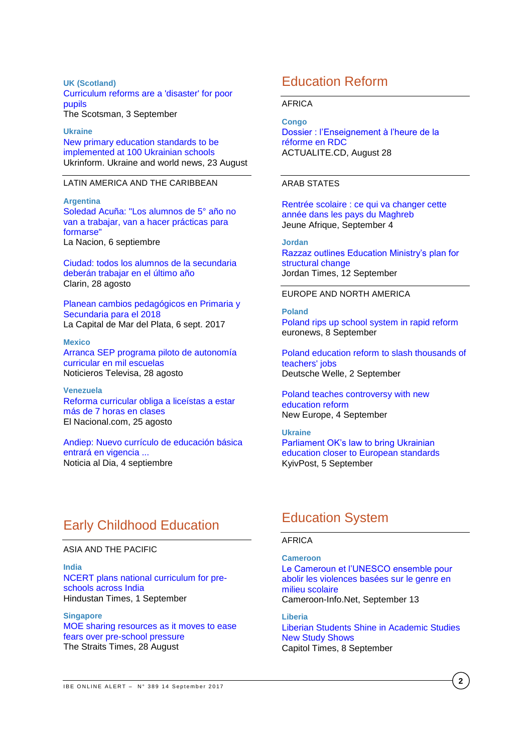**UK (Scotland)** [Curriculum reforms are a 'disaster' for poor](http://www.scotsman.com/news/education/curriculum-reforms-are-a-disaster-for-poor-pupils-1-4549925)  [pupils](http://www.scotsman.com/news/education/curriculum-reforms-are-a-disaster-for-poor-pupils-1-4549925) The Scotsman, 3 September

**Ukraine** [New primary education standards to be](https://www.ukrinform.net/rubric-society/2288439-new-primary-education-standards-to-be-implemented-at-100-ukrainian-schools.html)  [implemented at 100 Ukrainian schools](https://www.ukrinform.net/rubric-society/2288439-new-primary-education-standards-to-be-implemented-at-100-ukrainian-schools.html) Ukrinform. Ukraine and world news, 23 August

### LATIN AMERICA AND THE CARIBBEAN

**Argentina** [Soledad Acuña: "Los alumnos de 5° año no](http://www.lanacion.com.ar/2060091-soledad-acuna-los-alumnos-de-5-ano-no-van-a-trabajar-van-a-hacer-practicas-para-formarse)  [van a trabajar, van a hacer prácticas para](http://www.lanacion.com.ar/2060091-soledad-acuna-los-alumnos-de-5-ano-no-van-a-trabajar-van-a-hacer-practicas-para-formarse)  [formarse"](http://www.lanacion.com.ar/2060091-soledad-acuna-los-alumnos-de-5-ano-no-van-a-trabajar-van-a-hacer-practicas-para-formarse) La Nacion, 6 septiembre

[Ciudad: todos los alumnos de la secundaria](https://www.clarin.com/sociedad/ciudad-alumnos-secundaria-deberan-trabajar-ultimo-ano_0_SJf1VrGtZ.html)  [deberán trabajar en el](https://www.clarin.com/sociedad/ciudad-alumnos-secundaria-deberan-trabajar-ultimo-ano_0_SJf1VrGtZ.html) último año Clarin, 28 agosto

[Planean cambios pedagógicos en Primaria y](http://www.lacapitalmdp.com/planean-cambios-pedagogicos-en-primaria-y-secundaria-para-el-2018/)  [Secundaria para el 2018](http://www.lacapitalmdp.com/planean-cambios-pedagogicos-en-primaria-y-secundaria-para-el-2018/) La Capital de Mar del Plata, 6 sept. 2017

**Mexico** [Arranca SEP programa piloto de autonomía](http://noticieros.televisa.com/ultimas-noticias/nacional/2017-08-28/arranca-sep-programa-piloto-autonomia-curricular-mil-escuelas/)  [curricular en mil escuelas](http://noticieros.televisa.com/ultimas-noticias/nacional/2017-08-28/arranca-sep-programa-piloto-autonomia-curricular-mil-escuelas/) Noticieros Televisa, 28 agosto

**Venezuela** [Reforma curricular obliga a liceístas a estar](http://www.el-nacional.com/noticias/educacion/reforma-curricular-obliga-liceistas-estar-mas-horas-clases_200500)  [más de 7 horas en clases](http://www.el-nacional.com/noticias/educacion/reforma-curricular-obliga-liceistas-estar-mas-horas-clases_200500) El Nacional.com, 25 agosto

[Andiep: Nuevo currículo de educación básica](http://noticiaaldia.com/2017/09/andiep-nuevo-curriculo-educacion-basica-entrara-vigencia-octubre/)  [entrará en vigencia ...](http://noticiaaldia.com/2017/09/andiep-nuevo-curriculo-educacion-basica-entrara-vigencia-octubre/) Noticia al Dia, 4 septiembre

# Education Reform

### AFRICA

### **Congo**

[Dossier : l'Enseignement à l'heure de la](https://actualite.cd/2017/08/28/dossier-lenseignement-a-lheure-de-reforme-rdc/)  [réforme en RDC](https://actualite.cd/2017/08/28/dossier-lenseignement-a-lheure-de-reforme-rdc/) ACTUALITE.CD, August 28

## ARAB STATES

[Rentrée scolaire : ce qui va changer cette](http://www.jeuneafrique.com/471054/societe/rentree-scolaire-ce-qui-va-changer-cette-annee-dans-les-pays-du-maghreb/)  [année dans les pays du Maghreb](http://www.jeuneafrique.com/471054/societe/rentree-scolaire-ce-qui-va-changer-cette-annee-dans-les-pays-du-maghreb/) Jeune Afrique, September 4

**Jordan** [Razzaz outlines Education Ministry's plan for](http://jordantimes.com/news/local/razzaz-outlines-education-ministry%E2%80%99s-plan-structural-change)  [structural change](http://jordantimes.com/news/local/razzaz-outlines-education-ministry%E2%80%99s-plan-structural-change) Jordan Times, 12 September

### EUROPE AND NORTH AMERICA

**Poland** [Poland rips up school system in rapid reform](http://www.euronews.com/2017/09/08/poland-rips-up-school-system-in-rapid-reform) euronews, 8 September

[Poland education reform to slash thousands of](http://www.dw.com/en/poland-education-reform-to-slash-thousands-of-teachers-jobs/a-40333721)  [teachers' jobs](http://www.dw.com/en/poland-education-reform-to-slash-thousands-of-teachers-jobs/a-40333721) Deutsche Welle, 2 September

[Poland teaches controversy with new](https://www.neweurope.eu/article/poland-teaches-controversy-new-education-reform/)  [education reform](https://www.neweurope.eu/article/poland-teaches-controversy-new-education-reform/) New Europe, 4 September

**Ukraine** [Parliament OK's law to bring Ukrainian](https://www.kyivpost.com/ukraine-politics/parliament-oks-law-bring-ukrainian-education-closer-european-standards.html)  [education closer to European standards](https://www.kyivpost.com/ukraine-politics/parliament-oks-law-bring-ukrainian-education-closer-european-standards.html) KyivPost, 5 September

## Early Childhood Education

### ASIA AND THE PACIFIC

**India** [NCERT plans national curriculum for pre](http://www.hindustantimes.com/india-news/ncert-plans-national-curriculum-for-pre-schools-across-india/story-XfV3QnENWY3W1thdnuqfTN.html)[schools across India](http://www.hindustantimes.com/india-news/ncert-plans-national-curriculum-for-pre-schools-across-india/story-XfV3QnENWY3W1thdnuqfTN.html) Hindustan Times, 1 September

**Singapore** [MOE sharing resources as it moves to ease](http://www.straitstimes.com/singapore/education/moe-sharing-resources-as-it-moves-to-ease-fears-over-pre-school-pressure)  [fears over pre-school pressure](http://www.straitstimes.com/singapore/education/moe-sharing-resources-as-it-moves-to-ease-fears-over-pre-school-pressure) The Straits Times, 28 August

## Education System

## AFRICA

**Cameroon** [Le Cameroun et l'UNESCO ensemble pour](http://www.cameroon-info.net/article/cameroun-education-le-cameroun-et-lunesco-ensemble-pour-abolir-les-violences-basees-sur-le-301614.html)  [abolir les violences basées sur le genre en](http://www.cameroon-info.net/article/cameroun-education-le-cameroun-et-lunesco-ensemble-pour-abolir-les-violences-basees-sur-le-301614.html)  [milieu scolaire](http://www.cameroon-info.net/article/cameroun-education-le-cameroun-et-lunesco-ensemble-pour-abolir-les-violences-basees-sur-le-301614.html) Cameroon-Info.Net, September 13

**Liberia** [Liberian Students Shine in Academic Studies](http://allafrica.com/stories/201709080819.html)  [New Study Shows](http://allafrica.com/stories/201709080819.html) Capitol Times, 8 September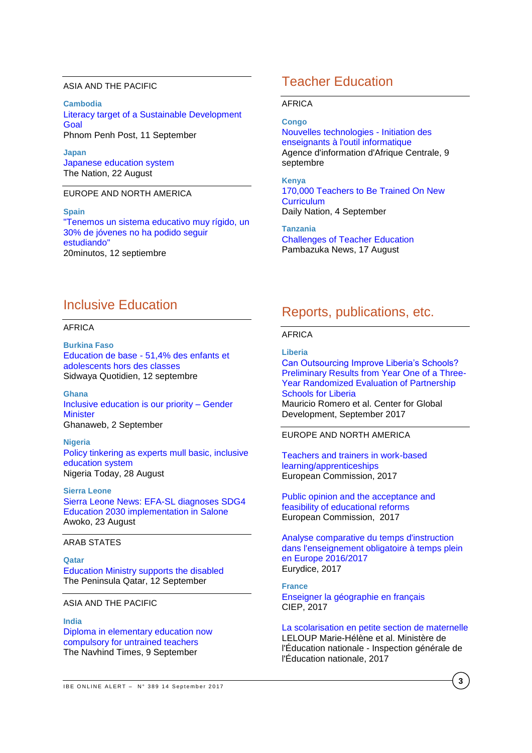### ASIA AND THE PACIFIC

**Cambodia** [Literacy target of a Sustainable Development](http://www.phnompenhpost.com/analysis-and-op-ed/literacy-target-sustainable-development-goal)  **[Goal](http://www.phnompenhpost.com/analysis-and-op-ed/literacy-target-sustainable-development-goal)** Phnom Penh Post, 11 September

**Japan** [Japanese education system](http://nation.com.pk/columns/22-Aug-2017/japanese-education-system) The Nation, 22 August

## EUROPE AND NORTH AMERICA

**Spain** ["Tenemos un sistema educativo muy rígido, un](http://www.20minutos.es/noticia/3128794/0/educacion-equidad-entrevista-jose-saturnino-martinez/)  [30% de jóvenes no ha podido seguir](http://www.20minutos.es/noticia/3128794/0/educacion-equidad-entrevista-jose-saturnino-martinez/)  [estudiando"](http://www.20minutos.es/noticia/3128794/0/educacion-equidad-entrevista-jose-saturnino-martinez/) 20minutos, 12 septiembre

## Teacher Education

### AFRICA

**Congo** [Nouvelles technologies -](http://fr.allafrica.com/stories/201709100223.html) Initiation des [enseignants à l'outil informatique](http://fr.allafrica.com/stories/201709100223.html) Agence d'information d'Afrique Centrale, 9 septembre

**Kenya** [170,000 Teachers to Be Trained On New](http://allafrica.com/stories/201709040004.html)  **[Curriculum](http://allafrica.com/stories/201709040004.html)** Daily Nation, 4 September

**Tanzania** [Challenges of Teacher Education](http://allafrica.com/stories/201708180573.html) Pambazuka News, 17 August

## Inclusive Education

### AFRICA

**Burkina Faso** Education de base - [51,4% des enfants et](http://fr.allafrica.com/stories/201709120490.html)  [adolescents hors des classes](http://fr.allafrica.com/stories/201709120490.html) Sidwaya Quotidien, 12 septembre

**Ghana** [Inclusive education is our priority –](https://www.ghanaweb.com/GhanaHomePage/NewsArchive/Inclusive-education-is-our-priority-Gender-Minister-576616) Gender **[Minister](https://www.ghanaweb.com/GhanaHomePage/NewsArchive/Inclusive-education-is-our-priority-Gender-Minister-576616)** Ghanaweb, 2 September

**Nigeria** [Policy tinkering as experts mull basic, inclusive](https://www.nigeriatoday.ng/2017/08/policy-tinkering-as-experts-mull-basic-inclusive-education-system/)  [education system](https://www.nigeriatoday.ng/2017/08/policy-tinkering-as-experts-mull-basic-inclusive-education-system/) Nigeria Today, 28 August

**Sierra Leone** [Sierra Leone News: EFA-SL diagnoses SDG4](http://awoko.org/2017/08/23/sierra-leone-news-efa-sl-diagnoses-sdg4-education-2030-implementation-in-salone/)  [Education 2030 implementation in Salone](http://awoko.org/2017/08/23/sierra-leone-news-efa-sl-diagnoses-sdg4-education-2030-implementation-in-salone/) Awoko, 23 August

### ARAB STATES

**Qatar** [Education Ministry supports the disabled](http://www.thepeninsulaqatar.com/article/12/09/2017/Education-Ministry-supports-the-disabled) The Peninsula Qatar, 12 September

## ASIA AND THE PACIFIC

#### **India**

[Diploma in elementary education now](http://www.navhindtimes.in/diploma-in-elementary-education-now-compulsory-for-untrained-teachers/)  [compulsory for untrained teachers](http://www.navhindtimes.in/diploma-in-elementary-education-now-compulsory-for-untrained-teachers/) The Navhind Times, 9 September

## Reports, publications, etc.

### AFRICA

**Liberia**

[Can Outsourcing Improve Liberia's Schools?](https://www.cgdev.org/sites/default/files/partnership-schools-for-liberia.pdf)  [Preliminary Results from Year One of a Three-](https://www.cgdev.org/sites/default/files/partnership-schools-for-liberia.pdf)[Year Randomized Evaluation of Partnership](https://www.cgdev.org/sites/default/files/partnership-schools-for-liberia.pdf)  [Schools for Liberia](https://www.cgdev.org/sites/default/files/partnership-schools-for-liberia.pdf) Mauricio Romero et al. Center for Global Development, September 2017

EUROPE AND NORTH AMERICA

[Teachers and trainers in work-based](https://publications.europa.eu/en/publication-detail/-/publication/88780c83-6b64-11e7-b2f2-01aa75ed71a1/language-en)  [learning/apprenticeships](https://publications.europa.eu/en/publication-detail/-/publication/88780c83-6b64-11e7-b2f2-01aa75ed71a1/language-en) European Commission, 2017

[Public opinion and the acceptance and](https://publications.europa.eu/en/publication-detail/-/publication/a29f75ba-dc81-11e6-ad7c-01aa75ed71a1/language-en)  [feasibility of educational reforms](https://publications.europa.eu/en/publication-detail/-/publication/a29f75ba-dc81-11e6-ad7c-01aa75ed71a1/language-en) European Commission, 2017

[Analyse comparative du temps d'instruction](https://publications.europa.eu/en/publication-detail/-/publication/96d6a299-7278-11e7-b2f2-01aa75ed71a1/language-en)  [dans l'enseignement obligatoire à temps plein](https://publications.europa.eu/en/publication-detail/-/publication/96d6a299-7278-11e7-b2f2-01aa75ed71a1/language-en)  [en Europe 2016/2017](https://publications.europa.eu/en/publication-detail/-/publication/96d6a299-7278-11e7-b2f2-01aa75ed71a1/language-en) Eurydice, 2017

**France** [Enseigner la géographie en français](http://lefildubilingue.org/ressources/enseigner-la-geographie-en-francais) CIEP, 2017

[La scolarisation en petite section de maternelle](http://www.ladocumentationfrancaise.fr/var/storage/rapports-publics/174000672.pdf) LELOUP Marie-Hélène et al. Ministère de l'Éducation nationale - Inspection générale de l'Éducation nationale, 2017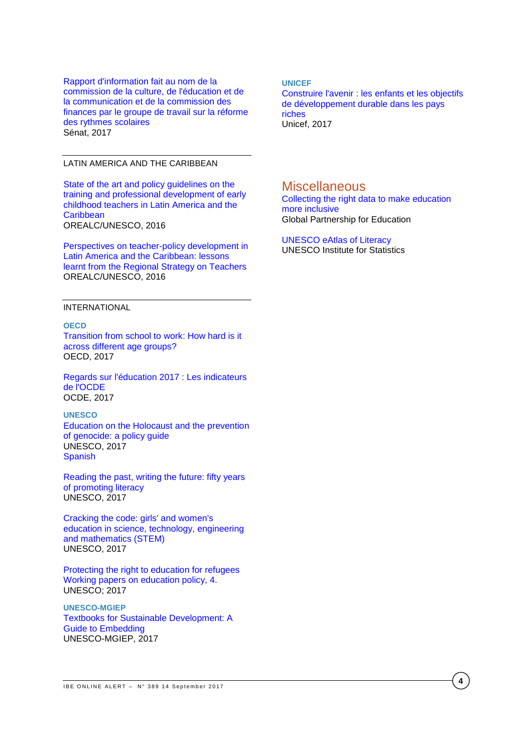[Rapport d'information fait au nom de la](http://www.senat.fr/notice-rapport/2016/r16-577-notice.html)  [commission de la culture, de l'éducation et de](http://www.senat.fr/notice-rapport/2016/r16-577-notice.html)  [la communication et de la commission des](http://www.senat.fr/notice-rapport/2016/r16-577-notice.html)  [finances par le groupe de travail sur la réforme](http://www.senat.fr/notice-rapport/2016/r16-577-notice.html)  [des rythmes scolaires](http://www.senat.fr/notice-rapport/2016/r16-577-notice.html) Sénat, 2017

### LATIN AMERICA AND THE CARIBBEAN

[State of the art and policy guidelines on the](http://unesdoc.unesco.org/images/0024/002476/247650e.pdf)  [training and professional development of early](http://unesdoc.unesco.org/images/0024/002476/247650e.pdf)  [childhood teachers in Latin America and the](http://unesdoc.unesco.org/images/0024/002476/247650e.pdf)  **[Caribbean](http://unesdoc.unesco.org/images/0024/002476/247650e.pdf)** OREALC/UNESCO, 2016

[Perspectives on teacher-policy development in](http://unesdoc.unesco.org/images/0024/002482/248295e.pdf)  [Latin America and the Caribbean: lessons](http://unesdoc.unesco.org/images/0024/002482/248295e.pdf)  [learnt from the Regional Strategy on Teachers](http://unesdoc.unesco.org/images/0024/002482/248295e.pdf) OREALC/UNESCO, 2016

### INTERNATIONAL

**OECD** [Transition from school to work: How hard is it](http://www.oecd-ilibrary.org/docserver/download/1e604198-en.pdf?expires=1505308168&id=id&accname=guest&checksum=8279218EF2F81726ADCC0565306D3380)  [across different age groups?](http://www.oecd-ilibrary.org/docserver/download/1e604198-en.pdf?expires=1505308168&id=id&accname=guest&checksum=8279218EF2F81726ADCC0565306D3380) OECD, 2017

[Regards sur l'éducation 2017 : Les indicateurs](http://www.oecd.org/fr/edu/regards-sur-l-education-19991495.htm)  [de l'OCDE](http://www.oecd.org/fr/edu/regards-sur-l-education-19991495.htm) OCDE, 2017

**UNESCO** [Education on the Holocaust and the prevention](http://unesdoc.unesco.org/images/0024/002480/248071E.pdf)  [of genocide: a policy guide](http://unesdoc.unesco.org/images/0024/002480/248071E.pdf) UNESCO, 2017 [Spanish](http://unesdoc.unesco.org/images/0025/002587/258766s.pdf)

[Reading the past, writing the future: fifty years](http://unesdoc.unesco.org/images/0024/002475/247563e.pdf)  [of promoting literacy](http://unesdoc.unesco.org/images/0024/002475/247563e.pdf) UNESCO, 2017

[Cracking the code: girls' and women's](http://unesdoc.unesco.org/images/0025/002534/253479e.pdf)  [education in science, technology, engineering](http://unesdoc.unesco.org/images/0025/002534/253479e.pdf)  [and mathematics \(STEM\)](http://unesdoc.unesco.org/images/0025/002534/253479e.pdf) UNESCO, 2017

[Protecting the right to education for refugees](http://unesdoc.unesco.org/images/0025/002510/251076e.pdf) [Working papers on education policy, 4.](http://unesdoc.unesco.org/images/0025/002510/251076e.pdf) UNESCO; 2017

**UNESCO-MGIEP** [Textbooks for Sustainable Development: A](http://mgiep.unesco.org/wp-content/uploads/2017/07/COMPLETE-GUIDEBOOK_Textbooks-for-Sustainable-Development_2.pdf)  [Guide to Embedding](http://mgiep.unesco.org/wp-content/uploads/2017/07/COMPLETE-GUIDEBOOK_Textbooks-for-Sustainable-Development_2.pdf) UNESCO-MGIEP, 2017

#### **UNICEF**

[Construire l'avenir : les enfants et les objectifs](https://www.unicef-irc.org/publications/891/) [de développement durable dans les pays](https://www.unicef-irc.org/publications/891/)  [riches](https://www.unicef-irc.org/publications/891/) Unicef, 2017

## **Miscellaneous**

[Collecting the right data to make education](http://www.globalpartnership.org/blog/collecting-right-data-make-education-more-inclusive)  [more inclusive](http://www.globalpartnership.org/blog/collecting-right-data-make-education-more-inclusive) Global Partnership for Education

[UNESCO eAtlas of Literacy](http://tellmaps.com/uis/literacy/#!/tellmap/-601865091) UNESCO Institute for Statistics